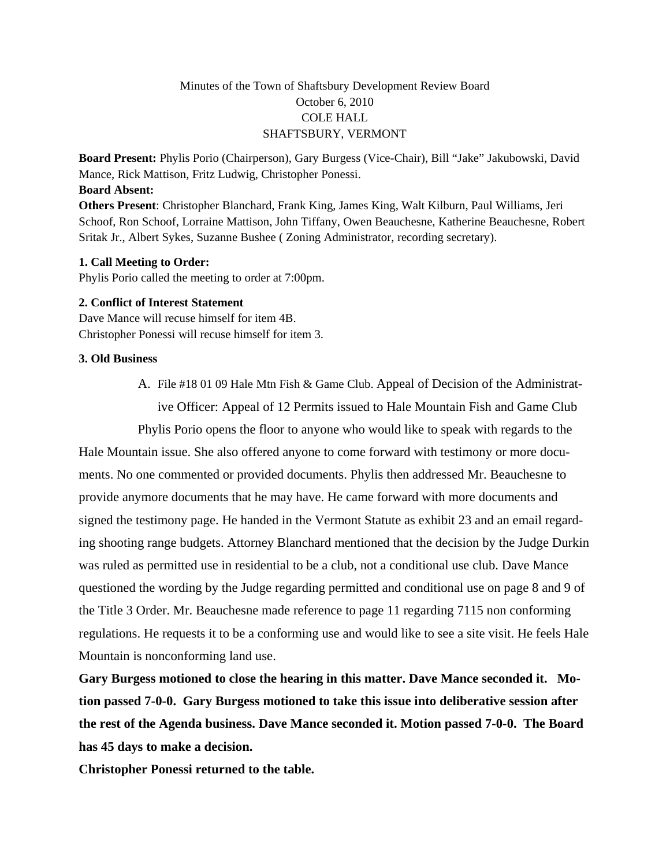# Minutes of the Town of Shaftsbury Development Review Board October 6, 2010 COLE HALL SHAFTSBURY, VERMONT

**Board Present:** Phylis Porio (Chairperson), Gary Burgess (Vice-Chair), Bill "Jake" Jakubowski, David Mance, Rick Mattison, Fritz Ludwig, Christopher Ponessi.

### **Board Absent:**

**Others Present**: Christopher Blanchard, Frank King, James King, Walt Kilburn, Paul Williams, Jeri Schoof, Ron Schoof, Lorraine Mattison, John Tiffany, Owen Beauchesne, Katherine Beauchesne, Robert Sritak Jr., Albert Sykes, Suzanne Bushee ( Zoning Administrator, recording secretary).

#### **1. Call Meeting to Order:**

Phylis Porio called the meeting to order at 7:00pm.

#### **2. Conflict of Interest Statement**

Dave Mance will recuse himself for item 4B. Christopher Ponessi will recuse himself for item 3.

#### **3. Old Business**

A. File #18 01 09 Hale Mtn Fish & Game Club. Appeal of Decision of the Administrative Officer: Appeal of 12 Permits issued to Hale Mountain Fish and Game Club

Phylis Porio opens the floor to anyone who would like to speak with regards to the Hale Mountain issue. She also offered anyone to come forward with testimony or more documents. No one commented or provided documents. Phylis then addressed Mr. Beauchesne to provide anymore documents that he may have. He came forward with more documents and signed the testimony page. He handed in the Vermont Statute as exhibit 23 and an email regarding shooting range budgets. Attorney Blanchard mentioned that the decision by the Judge Durkin was ruled as permitted use in residential to be a club, not a conditional use club. Dave Mance questioned the wording by the Judge regarding permitted and conditional use on page 8 and 9 of the Title 3 Order. Mr. Beauchesne made reference to page 11 regarding 7115 non conforming regulations. He requests it to be a conforming use and would like to see a site visit. He feels Hale Mountain is nonconforming land use.

**Gary Burgess motioned to close the hearing in this matter. Dave Mance seconded it. Motion passed 7-0-0. Gary Burgess motioned to take this issue into deliberative session after the rest of the Agenda business. Dave Mance seconded it. Motion passed 7-0-0. The Board has 45 days to make a decision.**

**Christopher Ponessi returned to the table.**